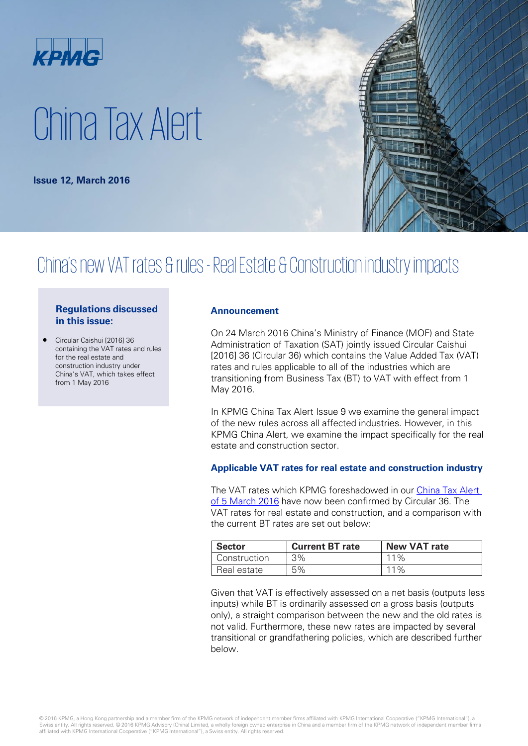

# China Tax Alert

**Issue 12, March 2016**

## China's new VAT rates & rules -Real Estate & Construction industry impacts

### **Regulations discussed in this issue:**

• Circular Caishui [2016] 36 containing the VAT rates and rules for the real estate and construction industry under China's VAT, which takes effect from 1 May 2016

#### **Announcement**

On 24 March 2016 China's Ministry of Finance (MOF) and State Administration of Taxation (SAT) jointly issued Circular Caishui [2016] 36 (Circular 36) which contains the Value Added Tax (VAT) rates and rules applicable to all of the industries which are transitioning from Business Tax (BT) to VAT with effect from 1 May 2016.

In KPMG China Tax Alert Issue 9 we examine the general impact of the new rules across all affected industries. However, in this KPMG China Alert, we examine the impact specifically for the real estate and construction sector.

#### **Applicable VAT rates for real estate and construction industry**

The VAT rates which KPMG foreshadowed in our [China Tax Alert](http://www.kpmg.com/CN/en/IssuesAndInsights/ArticlesPublications/Newsletters/China-Tax-Weekly-Update/Pages/china-tax-weekly-update-08.aspx)  [of 5 March 2016](http://www.kpmg.com/CN/en/IssuesAndInsights/ArticlesPublications/Newsletters/China-Tax-Weekly-Update/Pages/china-tax-weekly-update-08.aspx) have now been confirmed by Circular 36. The VAT rates for real estate and construction, and a comparison with the current BT rates are set out below:

| <b>Sector</b> | <b>Current BT rate</b> | <b>New VAT rate</b> |
|---------------|------------------------|---------------------|
| Construction  | 3%                     | $11\%$              |
| Real estate   | 5%                     | $11\%$              |

Given that VAT is effectively assessed on a net basis (outputs less inputs) while BT is ordinarily assessed on a gross basis (outputs only), a straight comparison between the new and the old rates is not valid. Furthermore, these new rates are impacted by several transitional or grandfathering policies, which are described further below.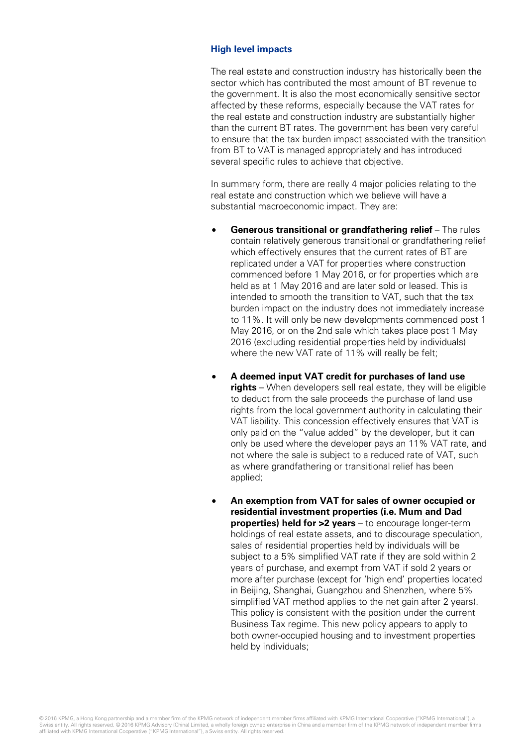#### **High level impacts**

The real estate and construction industry has historically been the sector which has contributed the most amount of BT revenue to the government. It is also the most economically sensitive sector affected by these reforms, especially because the VAT rates for the real estate and construction industry are substantially higher than the current BT rates. The government has been very careful to ensure that the tax burden impact associated with the transition from BT to VAT is managed appropriately and has introduced several specific rules to achieve that objective.

In summary form, there are really 4 major policies relating to the real estate and construction which we believe will have a substantial macroeconomic impact. They are:

- **Generous transitional or grandfathering relief** The rules contain relatively generous transitional or grandfathering relief which effectively ensures that the current rates of BT are replicated under a VAT for properties where construction commenced before 1 May 2016, or for properties which are held as at 1 May 2016 and are later sold or leased. This is intended to smooth the transition to VAT, such that the tax burden impact on the industry does not immediately increase to 11%. It will only be new developments commenced post 1 May 2016, or on the 2nd sale which takes place post 1 May 2016 (excluding residential properties held by individuals) where the new VAT rate of 11% will really be felt;
- **A deemed input VAT credit for purchases of land use rights** – When developers sell real estate, they will be eligible to deduct from the sale proceeds the purchase of land use rights from the local government authority in calculating their VAT liability. This concession effectively ensures that VAT is only paid on the "value added" by the developer, but it can only be used where the developer pays an 11% VAT rate, and not where the sale is subject to a reduced rate of VAT, such as where grandfathering or transitional relief has been applied;
- **An exemption from VAT for sales of owner occupied or residential investment properties (i.e. Mum and Dad properties) held for >2 years** – to encourage longer-term holdings of real estate assets, and to discourage speculation, sales of residential properties held by individuals will be subject to a 5% simplified VAT rate if they are sold within 2 years of purchase, and exempt from VAT if sold 2 years or more after purchase (except for 'high end' properties located in Beijing, Shanghai, Guangzhou and Shenzhen, where 5% simplified VAT method applies to the net gain after 2 years). This policy is consistent with the position under the current Business Tax regime. This new policy appears to apply to both owner-occupied housing and to investment properties held by individuals;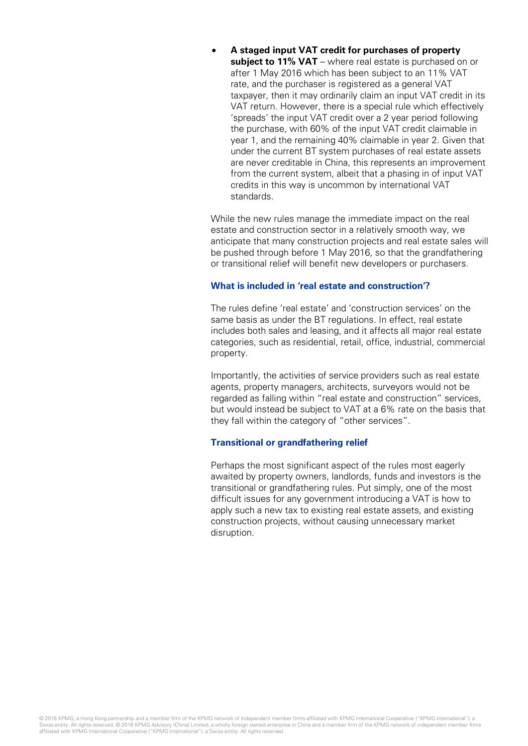• **A staged input VAT credit for purchases of property subject to 11% VAT** – where real estate is purchased on or after 1 May 2016 which has been subject to an 11% VAT rate, and the purchaser is registered as a general VAT taxpayer, then it may ordinarily claim an input VAT credit in its VAT return. However, there is a special rule which effectively 'spreads' the input VAT credit over a 2 year period following the purchase, with 60% of the input VAT credit claimable in year 1, and the remaining 40% claimable in year 2. Given that under the current BT system purchases of real estate assets are never creditable in China, this represents an improvement from the current system, albeit that a phasing in of input VAT credits in this way is uncommon by international VAT standards.

While the new rules manage the immediate impact on the real estate and construction sector in a relatively smooth way, we anticipate that many construction projects and real estate sales will be pushed through before 1 May 2016, so that the grandfathering or transitional relief will benefit new developers or purchasers.

#### **What is included in 'real estate and construction'?**

The rules define 'real estate' and 'construction services' on the same basis as under the BT regulations. In effect, real estate includes both sales and leasing, and it affects all major real estate categories, such as residential, retail, office, industrial, commercial property.

Importantly, the activities of service providers such as real estate agents, property managers, architects, surveyors would not be regarded as falling within "real estate and construction" services, but would instead be subject to VAT at a 6% rate on the basis that they fall within the category of "other services".

#### **Transitional or grandfathering relief**

Perhaps the most significant aspect of the rules most eagerly awaited by property owners, landlords, funds and investors is the transitional or grandfathering rules. Put simply, one of the most difficult issues for any government introducing a VAT is how to apply such a new tax to existing real estate assets, and existing construction projects, without causing unnecessary market disruption.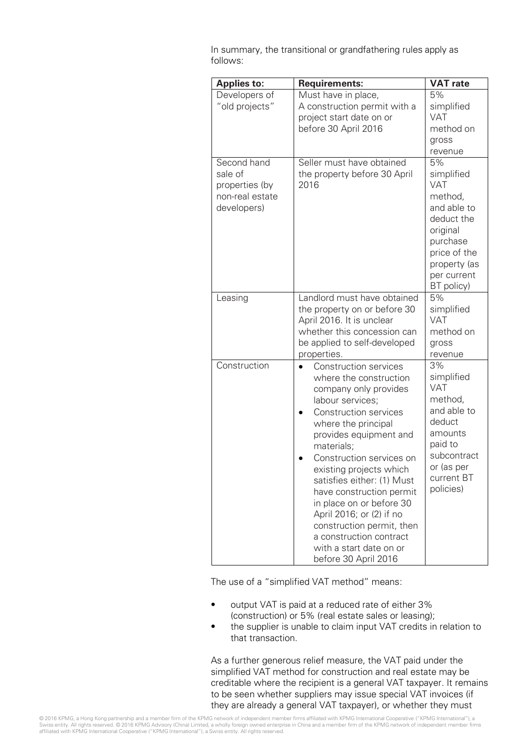In summary, the transitional or grandfathering rules apply as follows:

| <b>Applies to:</b>                                                         | <b>Requirements:</b>                                                                                                                                                                                                                                                                                                                                                                                                                                                                   | <b>VAT rate</b>                                                                                                                                             |
|----------------------------------------------------------------------------|----------------------------------------------------------------------------------------------------------------------------------------------------------------------------------------------------------------------------------------------------------------------------------------------------------------------------------------------------------------------------------------------------------------------------------------------------------------------------------------|-------------------------------------------------------------------------------------------------------------------------------------------------------------|
| Developers of<br>"old projects"                                            | Must have in place,<br>A construction permit with a<br>project start date on or<br>before 30 April 2016                                                                                                                                                                                                                                                                                                                                                                                | 5%<br>simplified<br><b>VAT</b><br>method on<br>gross<br>revenue                                                                                             |
| Second hand<br>sale of<br>properties (by<br>non-real estate<br>developers) | Seller must have obtained<br>the property before 30 April<br>2016                                                                                                                                                                                                                                                                                                                                                                                                                      | 5%<br>simplified<br><b>VAT</b><br>method,<br>and able to<br>deduct the<br>original<br>purchase<br>price of the<br>property (as<br>per current<br>BT policy) |
| Leasing                                                                    | Landlord must have obtained<br>the property on or before 30<br>April 2016. It is unclear<br>whether this concession can<br>be applied to self-developed<br>properties.                                                                                                                                                                                                                                                                                                                 | 5%<br>simplified<br><b>VAT</b><br>method on<br>gross<br>revenue                                                                                             |
| Construction                                                               | <b>Construction services</b><br>where the construction<br>company only provides<br>labour services;<br><b>Construction services</b><br>where the principal<br>provides equipment and<br>materials;<br>Construction services on<br>existing projects which<br>satisfies either: (1) Must<br>have construction permit<br>in place on or before 30<br>April 2016; or (2) if no<br>construction permit, then<br>a construction contract<br>with a start date on or<br>before 30 April 2016 | 3%<br>simplified<br><b>VAT</b><br>method,<br>and able to<br>deduct<br>amounts<br>paid to<br>subcontract<br>or (as per<br>current BT<br>policies)            |

The use of a "simplified VAT method" means:

- output VAT is paid at a reduced rate of either 3% (construction) or 5% (real estate sales or leasing);
- the supplier is unable to claim input VAT credits in relation to that transaction.

As a further generous relief measure, the VAT paid under the simplified VAT method for construction and real estate may be creditable where the recipient is a general VAT taxpayer. It remains to be seen whether suppliers may issue special VAT invoices (if they are already a general VAT taxpayer), or whether they must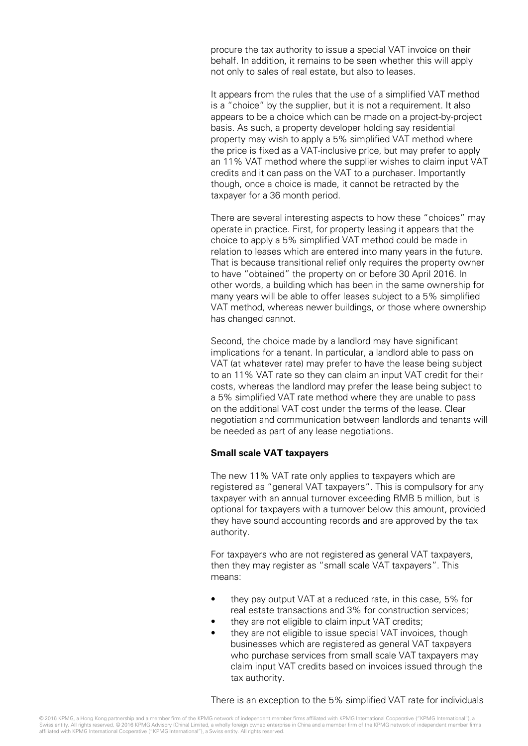procure the tax authority to issue a special VAT invoice on their behalf. In addition, it remains to be seen whether this will apply not only to sales of real estate, but also to leases.

It appears from the rules that the use of a simplified VAT method is a "choice" by the supplier, but it is not a requirement. It also appears to be a choice which can be made on a project-by-project basis. As such, a property developer holding say residential property may wish to apply a 5% simplified VAT method where the price is fixed as a VAT-inclusive price, but may prefer to apply an 11% VAT method where the supplier wishes to claim input VAT credits and it can pass on the VAT to a purchaser. Importantly though, once a choice is made, it cannot be retracted by the taxpayer for a 36 month period.

There are several interesting aspects to how these "choices" may operate in practice. First, for property leasing it appears that the choice to apply a 5% simplified VAT method could be made in relation to leases which are entered into many years in the future. That is because transitional relief only requires the property owner to have "obtained" the property on or before 30 April 2016. In other words, a building which has been in the same ownership for many years will be able to offer leases subject to a 5% simplified VAT method, whereas newer buildings, or those where ownership has changed cannot.

Second, the choice made by a landlord may have significant implications for a tenant. In particular, a landlord able to pass on VAT (at whatever rate) may prefer to have the lease being subject to an 11% VAT rate so they can claim an input VAT credit for their costs, whereas the landlord may prefer the lease being subject to a 5% simplified VAT rate method where they are unable to pass on the additional VAT cost under the terms of the lease. Clear negotiation and communication between landlords and tenants will be needed as part of any lease negotiations.

#### **Small scale VAT taxpayers**

The new 11% VAT rate only applies to taxpayers which are registered as "general VAT taxpayers". This is compulsory for any taxpayer with an annual turnover exceeding RMB 5 million, but is optional for taxpayers with a turnover below this amount, provided they have sound accounting records and are approved by the tax authority.

For taxpayers who are not registered as general VAT taxpayers, then they may register as "small scale VAT taxpayers". This means:

- they pay output VAT at a reduced rate, in this case, 5% for real estate transactions and 3% for construction services;
- they are not eligible to claim input VAT credits;
- they are not eligible to issue special VAT invoices, though businesses which are registered as general VAT taxpayers who purchase services from small scale VAT taxpayers may claim input VAT credits based on invoices issued through the tax authority.

There is an exception to the 5% simplified VAT rate for individuals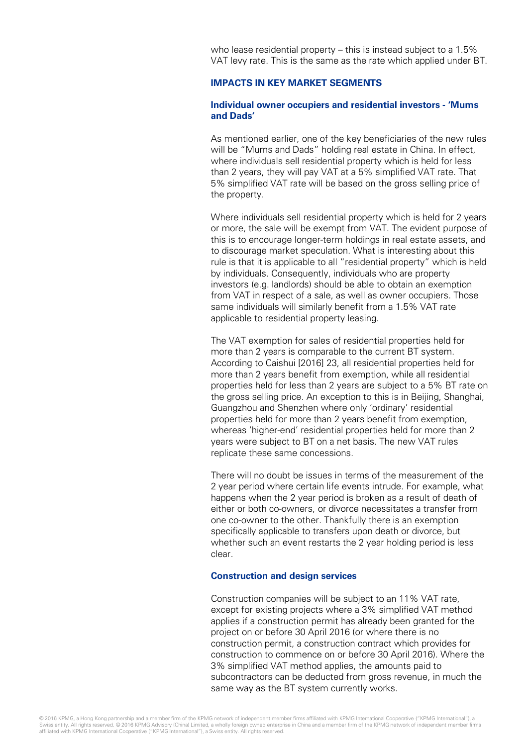who lease residential property – this is instead subject to a 1.5% VAT levy rate. This is the same as the rate which applied under BT.

#### **IMPACTS IN KEY MARKET SEGMENTS**

#### **Individual owner occupiers and residential investors - 'Mums and Dads'**

As mentioned earlier, one of the key beneficiaries of the new rules will be "Mums and Dads" holding real estate in China. In effect, where individuals sell residential property which is held for less than 2 years, they will pay VAT at a 5% simplified VAT rate. That 5% simplified VAT rate will be based on the gross selling price of the property.

Where individuals sell residential property which is held for 2 years or more, the sale will be exempt from VAT. The evident purpose of this is to encourage longer-term holdings in real estate assets, and to discourage market speculation. What is interesting about this rule is that it is applicable to all "residential property" which is held by individuals. Consequently, individuals who are property investors (e.g. landlords) should be able to obtain an exemption from VAT in respect of a sale, as well as owner occupiers. Those same individuals will similarly benefit from a 1.5% VAT rate applicable to residential property leasing.

The VAT exemption for sales of residential properties held for more than 2 years is comparable to the current BT system. According to Caishui [2016] 23, all residential properties held for more than 2 years benefit from exemption, while all residential properties held for less than 2 years are subject to a 5% BT rate on the gross selling price. An exception to this is in Beijing, Shanghai, Guangzhou and Shenzhen where only 'ordinary' residential properties held for more than 2 years benefit from exemption, whereas 'higher-end' residential properties held for more than 2 years were subject to BT on a net basis. The new VAT rules replicate these same concessions.

There will no doubt be issues in terms of the measurement of the 2 year period where certain life events intrude. For example, what happens when the 2 year period is broken as a result of death of either or both co-owners, or divorce necessitates a transfer from one co-owner to the other. Thankfully there is an exemption specifically applicable to transfers upon death or divorce, but whether such an event restarts the 2 year holding period is less clear.

#### **Construction and design services**

Construction companies will be subject to an 11% VAT rate, except for existing projects where a 3% simplified VAT method applies if a construction permit has already been granted for the project on or before 30 April 2016 (or where there is no construction permit, a construction contract which provides for construction to commence on or before 30 April 2016). Where the 3% simplified VAT method applies, the amounts paid to subcontractors can be deducted from gross revenue, in much the same way as the BT system currently works.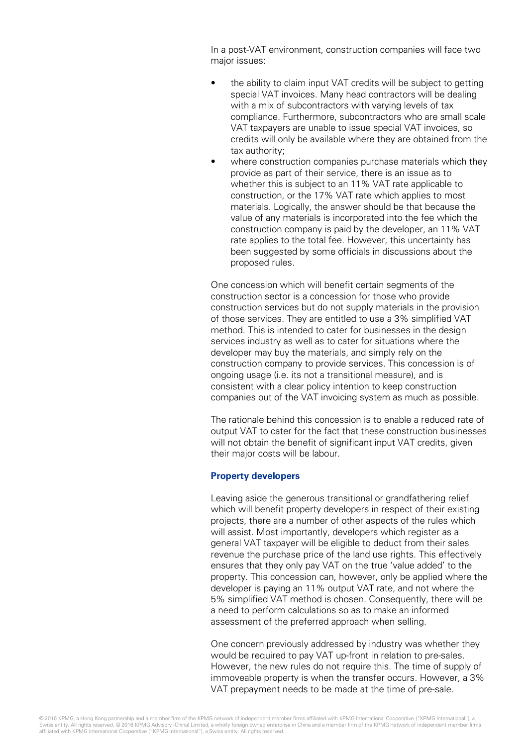In a post-VAT environment, construction companies will face two major issues:

- the ability to claim input VAT credits will be subject to getting special VAT invoices. Many head contractors will be dealing with a mix of subcontractors with varying levels of tax compliance. Furthermore, subcontractors who are small scale VAT taxpayers are unable to issue special VAT invoices, so credits will only be available where they are obtained from the tax authority;
- where construction companies purchase materials which they provide as part of their service, there is an issue as to whether this is subject to an 11% VAT rate applicable to construction, or the 17% VAT rate which applies to most materials. Logically, the answer should be that because the value of any materials is incorporated into the fee which the construction company is paid by the developer, an 11% VAT rate applies to the total fee. However, this uncertainty has been suggested by some officials in discussions about the proposed rules.

One concession which will benefit certain segments of the construction sector is a concession for those who provide construction services but do not supply materials in the provision of those services. They are entitled to use a 3% simplified VAT method. This is intended to cater for businesses in the design services industry as well as to cater for situations where the developer may buy the materials, and simply rely on the construction company to provide services. This concession is of ongoing usage (i.e. its not a transitional measure), and is consistent with a clear policy intention to keep construction companies out of the VAT invoicing system as much as possible.

The rationale behind this concession is to enable a reduced rate of output VAT to cater for the fact that these construction businesses will not obtain the benefit of significant input VAT credits, given their major costs will be labour.

#### **Property developers**

Leaving aside the generous transitional or grandfathering relief which will benefit property developers in respect of their existing projects, there are a number of other aspects of the rules which will assist. Most importantly, developers which register as a general VAT taxpayer will be eligible to deduct from their sales revenue the purchase price of the land use rights. This effectively ensures that they only pay VAT on the true 'value added' to the property. This concession can, however, only be applied where the developer is paying an 11% output VAT rate, and not where the 5% simplified VAT method is chosen. Consequently, there will be a need to perform calculations so as to make an informed assessment of the preferred approach when selling.

One concern previously addressed by industry was whether they would be required to pay VAT up-front in relation to pre-sales. However, the new rules do not require this. The time of supply of immoveable property is when the transfer occurs. However, a 3% VAT prepayment needs to be made at the time of pre-sale.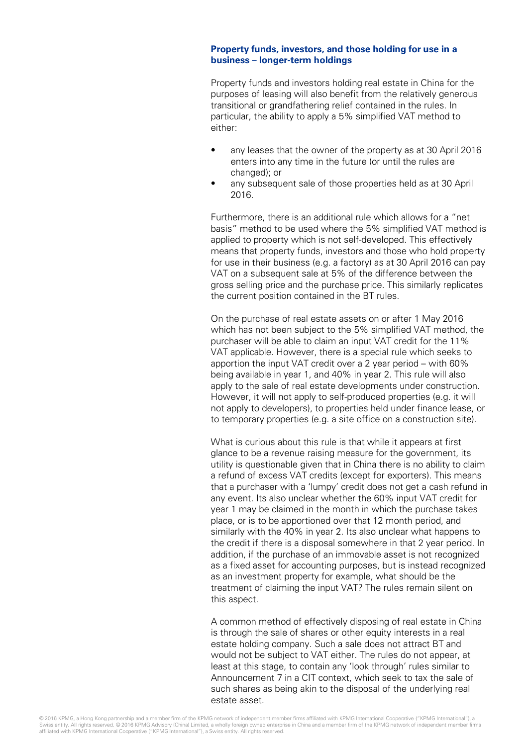#### **Property funds, investors, and those holding for use in a business – longer-term holdings**

Property funds and investors holding real estate in China for the purposes of leasing will also benefit from the relatively generous transitional or grandfathering relief contained in the rules. In particular, the ability to apply a 5% simplified VAT method to either:

- any leases that the owner of the property as at 30 April 2016 enters into any time in the future (or until the rules are changed); or
- any subsequent sale of those properties held as at 30 April 2016.

Furthermore, there is an additional rule which allows for a "net basis" method to be used where the 5% simplified VAT method is applied to property which is not self-developed. This effectively means that property funds, investors and those who hold property for use in their business (e.g. a factory) as at 30 April 2016 can pay VAT on a subsequent sale at 5% of the difference between the gross selling price and the purchase price. This similarly replicates the current position contained in the BT rules.

On the purchase of real estate assets on or after 1 May 2016 which has not been subject to the 5% simplified VAT method, the purchaser will be able to claim an input VAT credit for the 11% VAT applicable. However, there is a special rule which seeks to apportion the input VAT credit over a 2 year period – with 60% being available in year 1, and 40% in year 2. This rule will also apply to the sale of real estate developments under construction. However, it will not apply to self-produced properties (e.g. it will not apply to developers), to properties held under finance lease, or to temporary properties (e.g. a site office on a construction site).

What is curious about this rule is that while it appears at first glance to be a revenue raising measure for the government, its utility is questionable given that in China there is no ability to claim a refund of excess VAT credits (except for exporters). This means that a purchaser with a 'lumpy' credit does not get a cash refund in any event. Its also unclear whether the 60% input VAT credit for year 1 may be claimed in the month in which the purchase takes place, or is to be apportioned over that 12 month period, and similarly with the 40% in year 2. Its also unclear what happens to the credit if there is a disposal somewhere in that 2 year period. In addition, if the purchase of an immovable asset is not recognized as a fixed asset for accounting purposes, but is instead recognized as an investment property for example, what should be the treatment of claiming the input VAT? The rules remain silent on this aspect.

A common method of effectively disposing of real estate in China is through the sale of shares or other equity interests in a real estate holding company. Such a sale does not attract BT and would not be subject to VAT either. The rules do not appear, at least at this stage, to contain any 'look through' rules similar to Announcement 7 in a CIT context, which seek to tax the sale of such shares as being akin to the disposal of the underlying real estate asset.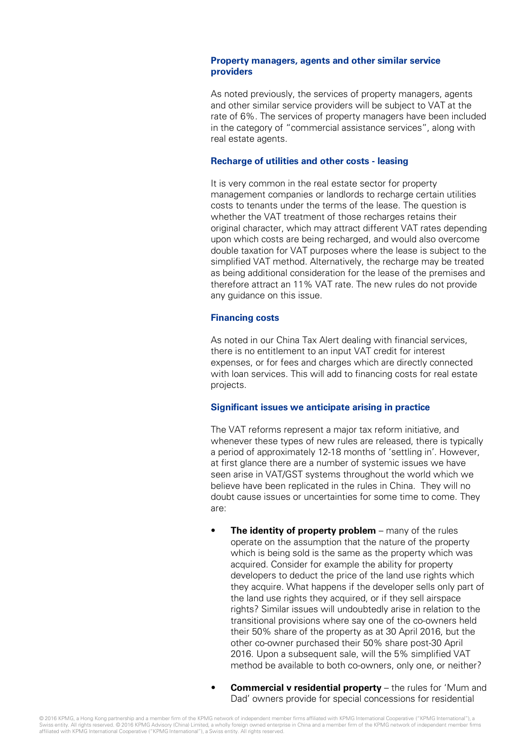#### **Property managers, agents and other similar service providers**

As noted previously, the services of property managers, agents and other similar service providers will be subject to VAT at the rate of 6%. The services of property managers have been included in the category of "commercial assistance services", along with real estate agents.

#### **Recharge of utilities and other costs - leasing**

It is very common in the real estate sector for property management companies or landlords to recharge certain utilities costs to tenants under the terms of the lease. The question is whether the VAT treatment of those recharges retains their original character, which may attract different VAT rates depending upon which costs are being recharged, and would also overcome double taxation for VAT purposes where the lease is subject to the simplified VAT method. Alternatively, the recharge may be treated as being additional consideration for the lease of the premises and therefore attract an 11% VAT rate. The new rules do not provide any guidance on this issue.

#### **Financing costs**

As noted in our China Tax Alert dealing with financial services, there is no entitlement to an input VAT credit for interest expenses, or for fees and charges which are directly connected with loan services. This will add to financing costs for real estate projects.

#### **Significant issues we anticipate arising in practice**

The VAT reforms represent a major tax reform initiative, and whenever these types of new rules are released, there is typically a period of approximately 12-18 months of 'settling in'. However, at first glance there are a number of systemic issues we have seen arise in VAT/GST systems throughout the world which we believe have been replicated in the rules in China. They will no doubt cause issues or uncertainties for some time to come. They are:

- **The identity of property problem** many of the rules operate on the assumption that the nature of the property which is being sold is the same as the property which was acquired. Consider for example the ability for property developers to deduct the price of the land use rights which they acquire. What happens if the developer sells only part of the land use rights they acquired, or if they sell airspace rights? Similar issues will undoubtedly arise in relation to the transitional provisions where say one of the co-owners held their 50% share of the property as at 30 April 2016, but the other co-owner purchased their 50% share post-30 April 2016. Upon a subsequent sale, will the 5% simplified VAT method be available to both co-owners, only one, or neither?
- **Commercial v residential property** the rules for 'Mum and Dad' owners provide for special concessions for residential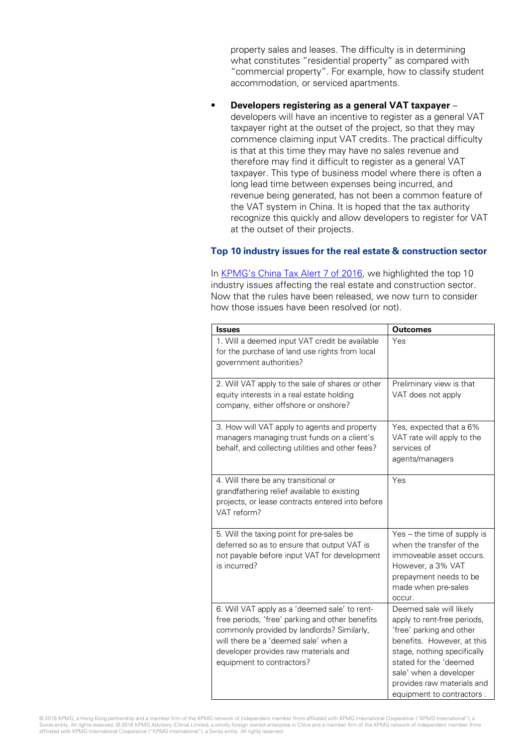property sales and leases. The difficulty is in determining what constitutes "residential property" as compared with "commercial property". For example, how to classify student accommodation, or serviced apartments.

• **Developers registering as a general VAT taxpayer** – developers will have an incentive to register as a general VAT taxpayer right at the outset of the project, so that they may commence claiming input VAT credits. The practical difficulty is that at this time they may have no sales revenue and therefore may find it difficult to register as a general VAT taxpayer. This type of business model where there is often a long lead time between expenses being incurred, and revenue being generated, has not been a common feature of the VAT system in China. It is hoped that the tax authority recognize this quickly and allow developers to register for VAT at the outset of their projects.

#### **Top 10 industry issues for the real estate & construction sector**

In [KPMG's China Tax Alert 7](http://www.kpmg.com/CN/en/IssuesAndInsights/ArticlesPublications/Newsletters/China-Tax-Weekly-Update/Pages/china-tax-weekly-update-08.aspx) of 2016, we highlighted the top 10 industry issues affecting the real estate and construction sector. Now that the rules have been released, we now turn to consider how those issues have been resolved (or not).

| <b>Issues</b>                                                                                                                                                                                                                                               | <b>Outcomes</b>                                                                                                                                                                                                                                                |
|-------------------------------------------------------------------------------------------------------------------------------------------------------------------------------------------------------------------------------------------------------------|----------------------------------------------------------------------------------------------------------------------------------------------------------------------------------------------------------------------------------------------------------------|
| 1. Will a deemed input VAT credit be available<br>for the purchase of land use rights from local<br>government authorities?                                                                                                                                 | Yes                                                                                                                                                                                                                                                            |
| 2. Will VAT apply to the sale of shares or other<br>equity interests in a real estate holding<br>company, either offshore or onshore?                                                                                                                       | Preliminary view is that<br>VAT does not apply                                                                                                                                                                                                                 |
| 3. How will VAT apply to agents and property<br>managers managing trust funds on a client's<br>behalf, and collecting utilities and other fees?                                                                                                             | Yes, expected that a 6%<br>VAT rate will apply to the<br>services of<br>agents/managers                                                                                                                                                                        |
| 4. Will there be any transitional or<br>grandfathering relief available to existing<br>projects, or lease contracts entered into before<br>VAT reform?                                                                                                      | Yes                                                                                                                                                                                                                                                            |
| 5. Will the taxing point for pre-sales be<br>deferred so as to ensure that output VAT is<br>not payable before input VAT for development<br>is incurred?                                                                                                    | Yes - the time of supply is<br>when the transfer of the<br>immoveable asset occurs.<br>However, a 3% VAT<br>prepayment needs to be<br>made when pre-sales<br>occur.                                                                                            |
| 6. Will VAT apply as a 'deemed sale' to rent-<br>free periods, 'free' parking and other benefits<br>commonly provided by landlords? Similarly,<br>will there be a 'deemed sale' when a<br>developer provides raw materials and<br>equipment to contractors? | Deemed sale will likely<br>apply to rent-free periods,<br>'free' parking and other<br>benefits. However, at this<br>stage, nothing specifically<br>stated for the 'deemed<br>sale' when a developer<br>provides raw materials and<br>equipment to contractors. |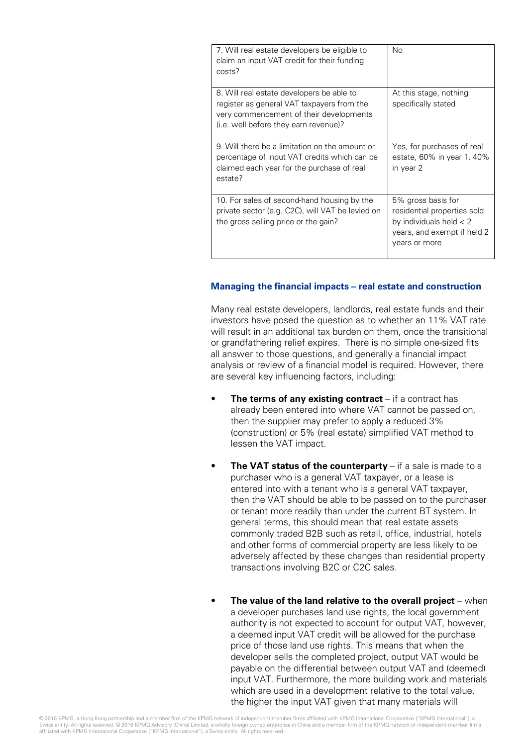| 7. Will real estate developers be eligible to<br>claim an input VAT credit for their funding<br>costs?                                                                      | No                                                                                                                             |
|-----------------------------------------------------------------------------------------------------------------------------------------------------------------------------|--------------------------------------------------------------------------------------------------------------------------------|
| 8. Will real estate developers be able to<br>register as general VAT taxpayers from the<br>very commencement of their developments<br>(i.e. well before they earn revenue)? | At this stage, nothing<br>specifically stated                                                                                  |
| 9. Will there be a limitation on the amount or<br>percentage of input VAT credits which can be<br>claimed each year for the purchase of real<br>estate?                     | Yes, for purchases of real<br>estate, 60% in year 1, 40%<br>in year 2                                                          |
| 10. For sales of second-hand housing by the<br>private sector (e.g. C2C), will VAT be levied on<br>the gross selling price or the gain?                                     | 5% gross basis for<br>residential properties sold<br>by individuals held $<$ 2<br>years, and exempt if held 2<br>years or more |

#### **Managing the financial impacts – real estate and construction**

Many real estate developers, landlords, real estate funds and their investors have posed the question as to whether an 11% VAT rate will result in an additional tax burden on them, once the transitional or grandfathering relief expires. There is no simple one-sized fits all answer to those questions, and generally a financial impact analysis or review of a financial model is required. However, there are several key influencing factors, including:

- **The terms of any existing contract** if a contract has already been entered into where VAT cannot be passed on, then the supplier may prefer to apply a reduced 3% (construction) or 5% (real estate) simplified VAT method to lessen the VAT impact.
- **The VAT status of the counterparty** if a sale is made to a purchaser who is a general VAT taxpayer, or a lease is entered into with a tenant who is a general VAT taxpayer, then the VAT should be able to be passed on to the purchaser or tenant more readily than under the current BT system. In general terms, this should mean that real estate assets commonly traded B2B such as retail, office, industrial, hotels and other forms of commercial property are less likely to be adversely affected by these changes than residential property transactions involving B2C or C2C sales.
- **The value of the land relative to the overall project** when a developer purchases land use rights, the local government authority is not expected to account for output VAT, however, a deemed input VAT credit will be allowed for the purchase price of those land use rights. This means that when the developer sells the completed project, output VAT would be payable on the differential between output VAT and (deemed) input VAT. Furthermore, the more building work and materials which are used in a development relative to the total value, the higher the input VAT given that many materials will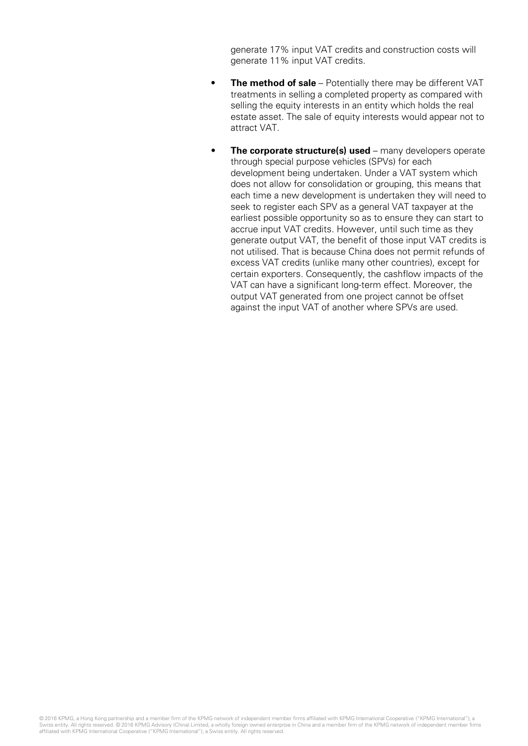generate 17% input VAT credits and construction costs will generate 11% input VAT credits.

- **The method of sale** Potentially there may be different VAT treatments in selling a completed property as compared with selling the equity interests in an entity which holds the real estate asset. The sale of equity interests would appear not to attract VAT.
- **The corporate structure(s) used** many developers operate through special purpose vehicles (SPVs) for each development being undertaken. Under a VAT system which does not allow for consolidation or grouping, this means that each time a new development is undertaken they will need to seek to register each SPV as a general VAT taxpayer at the earliest possible opportunity so as to ensure they can start to accrue input VAT credits. However, until such time as they generate output VAT, the benefit of those input VAT credits is not utilised. That is because China does not permit refunds of excess VAT credits (unlike many other countries), except for certain exporters. Consequently, the cashflow impacts of the VAT can have a significant long-term effect. Moreover, the output VAT generated from one project cannot be offset against the input VAT of another where SPVs are used.